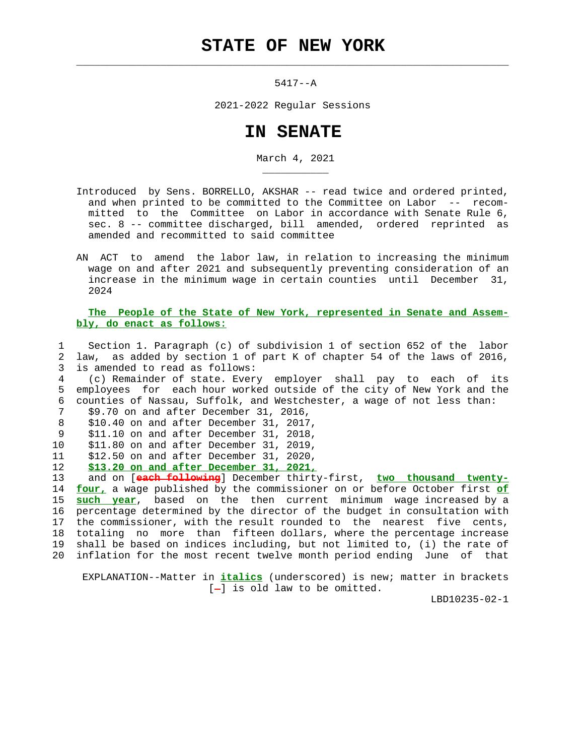$\mathcal{L}_\text{max} = \frac{1}{2} \sum_{i=1}^{n} \frac{1}{2} \sum_{i=1}^{n} \frac{1}{2} \sum_{i=1}^{n} \frac{1}{2} \sum_{i=1}^{n} \frac{1}{2} \sum_{i=1}^{n} \frac{1}{2} \sum_{i=1}^{n} \frac{1}{2} \sum_{i=1}^{n} \frac{1}{2} \sum_{i=1}^{n} \frac{1}{2} \sum_{i=1}^{n} \frac{1}{2} \sum_{i=1}^{n} \frac{1}{2} \sum_{i=1}^{n} \frac{1}{2} \sum_{i=1}^{n} \frac{1$ 

5417--A

2021-2022 Regular Sessions

## **IN SENATE**

March 4, 2021

- Introduced by Sens. BORRELLO, AKSHAR -- read twice and ordered printed, and when printed to be committed to the Committee on Labor -- recom mitted to the Committee on Labor in accordance with Senate Rule 6, sec. 8 -- committee discharged, bill amended, ordered reprinted as amended and recommitted to said committee
- AN ACT to amend the labor law, in relation to increasing the minimum wage on and after 2021 and subsequently preventing consideration of an increase in the minimum wage in certain counties until December 31, 2024

 **The People of the State of New York, represented in Senate and Assem bly, do enact as follows:**

 1 Section 1. Paragraph (c) of subdivision 1 of section 652 of the labor 2 law, as added by section 1 of part K of chapter 54 of the laws of 2016, 3 is amended to read as follows:

 4 (c) Remainder of state. Every employer shall pay to each of its 5 employees for each hour worked outside of the city of New York and the 6 counties of Nassau, Suffolk, and Westchester, a wage of not less than:

```
 7 $9.70 on and after December 31, 2016,
```
\_\_\_\_\_\_\_\_\_\_\_

- 8 \$10.40 on and after December 31, 2017, 9 \$11.10 on and after December 31, 2018,
- 10 \$11.80 on and after December 31, 2019,
- 11 \$12.50 on and after December 31, 2020,
- 12 **\$13.20 on and after December 31, 2021,**

 13 and on [**each following**] December thirty-first, **two thousand twenty-** 14 **four,** a wage published by the commissioner on or before October first **of** 15 **such year**, based on the then current minimum wage increased by a 16 percentage determined by the director of the budget in consultation with 17 the commissioner, with the result rounded to the nearest five cents, 18 totaling no more than fifteen dollars, where the percentage increase 19 shall be based on indices including, but not limited to, (i) the rate of 20 inflation for the most recent twelve month period ending June of that

 EXPLANATION--Matter in **italics** (underscored) is new; matter in brackets  $[-]$  is old law to be omitted.

LBD10235-02-1